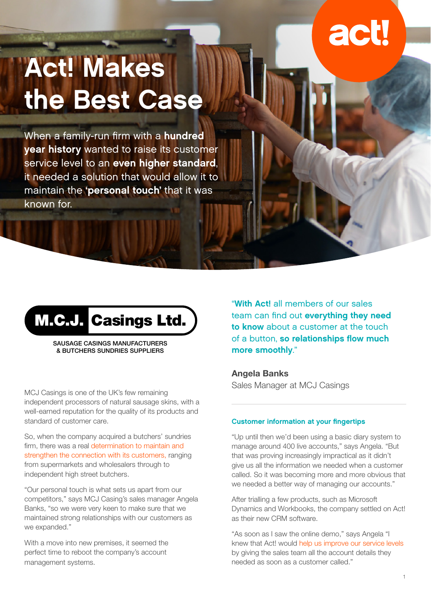# **act!**

## Act! Makes the Best Case

When a family-run firm with a **hundred** year history wanted to raise its customer service level to an even higher standard, it needed a solution that would allow it to maintain the 'personal touch' that it was known for.

## M.C.J. Casings Ltd.

SAUSAGE CASINGS MANUFACTURERS & BUTCHERS SUNDRIES SUPPLIERS

MCJ Casings is one of the UK's few remaining independent processors of natural sausage skins, with a well-earned reputation for the quality of its products and standard of customer care.

So, when the company acquired a butchers' sundries firm, there was a real determination to maintain and strengthen the connection with its customers, ranging from supermarkets and wholesalers through to independent high street butchers.

"Our personal touch is what sets us apart from our competitors," says MCJ Casing's sales manager Angela Banks, "so we were very keen to make sure that we maintained strong relationships with our customers as we expanded."

With a move into new premises, it seemed the perfect time to reboot the company's account management systems.

"With Act! all members of our sales team can find out everything they need to know about a customer at the touch of a button, so relationships flow much more smoothly."

**Angela Banks** Sales Manager at MCJ Casings

#### Customer information at your fingertips

"Up until then we'd been using a basic diary system to manage around 400 live accounts," says Angela. "But that was proving increasingly impractical as it didn't give us all the information we needed when a customer called. So it was becoming more and more obvious that we needed a better way of managing our accounts."

After trialling a few products, such as Microsoft Dynamics and Workbooks, the company settled on Act! as their new CRM software.

"As soon as I saw the online demo," says Angela "I knew that Act! would help us improve our service levels by giving the sales team all the account details they needed as soon as a customer called."